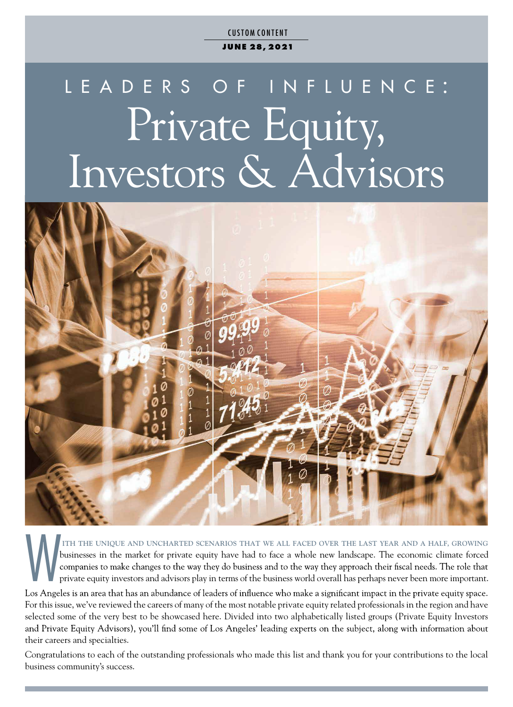**CUSTOM CONTENT J UN E 28, 2021**

# L E A D E R S O F I N F L U E N C E : Private Equity, Investors & Advisors



THE UNIQUE AND UNCHARTED SCENARIOS THAT WE ALL FACED OVER THE LAST YEAR AND A HALF, GROWING<br>businesses in the market for private equity have had to face a whole new landscape. The economic climate forced<br>companies to make businesses in the market for private equity have had to face a whole new landscape. The economic climate forced private equity investors and advisors play in terms of the business world overall has perhaps never been more important.

For this issue, we've reviewed the careers of many of the most notable private equity related professionals in the region and have selected some of the very best to be showcased here. Divided into two alphabetically listed groups (Private Equity Investors and Private Equity Advisors), you'll find some of Los Angeles' leading experts on the subject, along with information about their careers and specialties.

Congratulations to each of the outstanding professionals who made this list and thank you for your contributions to the local business community's success.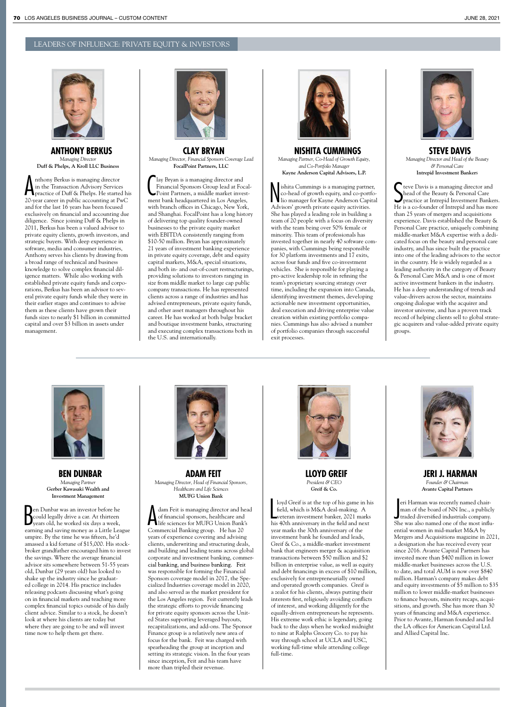# LEADERS OF INFLUENCE: PRIVATE EQUITY & INVESTORS



**ANTHONY BERKUS** *Managing Director* **Duff & Phelps, A Kroll LLC Business**

A nthony Berkus is managing director<br>in the Transaction Advisory Services<br>practice of Duff & Phelps. He started his nthony Berkus is managing director in the Transaction Advisory Services 20-year career in public accounting at PwC and for the last 16 years has been focused exclusively on financial and accounting due diligence. Since joining Duff & Phelps in 2011, Berkus has been a valued advisor to private equity clients, growth investors, and strategic buyers. With deep experience in software, media and consumer industries, Anthony serves his clients by drawing from a broad range of technical and business knowledge to solve complex financial diligence matters. While also working with established private equity funds and corporations, Berkus has been an advisor to several private equity funds while they were in their earlier stages and continues to advise them as these clients have grown their funds sizes to nearly \$1 billion in committed capital and over \$3 billion in assets under management.



**CLAY BRYAN** *Managing Director, Financial Sponsors Coverage Lead* **FocalPoint Partners, LLC**

**C** lay Bryan is a managing director and<br>Financial Sponsors Group lead at Focal<br>Point Partners, a middle market invest-<br>ment bank headquartered in Los Angeles, lay Bryan is a managing director and Financial Sponsors Group lead at Focal-Point Partners, a middle market investwith branch offices in Chicago, New York, and Shanghai. FocalPoint has a long history of delivering top quality founder-owned businesses to the private equity market with EBITDA consistently ranging from \$10-50 million. Bryan has approximately 21 years of investment banking experience in private equity coverage, debt and equity capital markets, M&A, special situations, and both in- and out-of-court restructurings, providing solutions to investors ranging in size from middle market to large cap public company transactions. He has represented clients across a range of industries and has advised entrepreneurs, private equity funds, and other asset managers throughout his career. He has worked at both bulge bracket and boutique investment banks, structuring and executing complex transactions both in the U.S. and internationally.



**NISHITA CUMMINGS** *Managing Partner, Co-Head of Growth Equity, and Co-Portfolio Manager* **Kayne Anderson Capital Advisors, L.P.**

**N** ishita Cummings is a managing partne<br>co-head of growth equity, and co-portf<br>lio manager for Kayne Anderson Capit<br>Advisors' growth private equity activities. ishita Cummings is a managing partner, co-head of growth equity, and co-portfolio manager for Kayne Anderson Capital She has played a leading role in building a team of 20 people with a focus on diversity with the team being over 50% female or minority. This team of professionals has invested together in nearly 40 software companies, with Cummings being responsible for 30 platform investments and 17 exits, across four funds and five co-investment vehicles. She is responsible for playing a pro-active leadership role in refining the team's proprietary sourcing strategy over time, including the expansion into Canada, identifying investment themes, developing actionable new investment opportunities, deal execution and driving enterprise value creation within existing portfolio companies. Cummings has also advised a number of portfolio companies through successful exit processes.



**STEVE DAVIS** *Managing Director and Head of the Beauty & Personal Care* **Intrepid Investment Banker**s

Serve Davis is a managing director and<br>
head of the Beauty & Personal Care<br>
practice at Intrepid Investment Bankers.<br>
He is a co-founder of Intrepid and has more teve Davis is a managing director and head of the Beauty & Personal Care practice at Intrepid Investment Bankers. than 25 years of mergers and acquisitions experience. Davis established the Beauty & Personal Care practice, uniquely combining middle-market M&A expertise with a dedicated focus on the beauty and personal care industry, and has since built the practice into one of the leading advisors to the sector in the country. He is widely regarded as a leading authority in the category of Beauty & Personal Care M&A and is one of most active investment bankers in the industry. He has a deep understanding of trends and value-drivers across the sector, maintains ongoing dialogue with the acquirer and investor universe, and has a proven track record of helping clients sell to global strategic acquirers and value-added private equity groups.



**BEN DUNBAR** *Managing Partner* **Gerber Kawasaki Wealth and Investment Management**

B en Dunbar was an investor before he could legally drive a car. At thirteen years old, he worked six days a week, earning and saving money as a Little League umpire. By the time he was fifteen, he'd amassed a kid fortune of \$15,000. His stockbroker grandfather encouraged him to invest the savings. Where the average financial advisor sits somewhere between 51-55 years old, Dunbar (29 years old) has looked to shake up the industry since he graduated college in 2014. His practice includes releasing podcasts discussing what's going on in financial markets and teaching more complex financial topics outside of his daily client advice. Similar to a stock, he doesn't look at where his clients are today but where they are going to be and will invest time now to help them get there.



**ADAM FEIT** *Managing Director, Head of Financial Sponsors, Healthcare and Life Sciences* **MUFG Union Bank**

A dam Feit is managing director and head<br>of financial sponsors, healthcare and<br>file sciences for MUFG Union Bank's<br>Commercial Bonking group Ho he also dam Feit is managing director and head of nancial sponsors, healthcare and Commercial Banking group. He has 20 years of experience covering and advising clients, underwriting and structuring deals, and building and leading teams across global corporate and investment banking, commercial banking, and business banking. Feit was responsible for forming the Financial Sponsors coverage model in 2017, the Specialized Industries coverage model in 2020, and also served as the market president for the Los Angeles region. Feit currently leads the strategic efforts to provide financing for private equity sponsors across the United States supporting leveraged buyouts, recapitalizations, and add-ons. The Sponsor Finance group is a relatively new area of focus for the bank. Feit was charged with spearheading the group at inception and setting its strategic vision. In the four years since inception, Feit and his team have more than tripled their revenue.



**LLOYD GREIF** *President & CEO* **Greif & Co.**

loyd Greif is at the top of his game in hi<br>field, which is M&A deal-making. A<br>veteran investment banker, 2021 marks<br>his 40th anniversary in the field and next loyd Greif is at the top of his game in his field, which is M&A deal-making. A veteran investment banker, 2021 marks year marks the 30th anniversary of the investment bank he founded and leads, Greif & Co., a middle-market investment bank that engineers merger & acquisition transactions between \$50 million and \$2 billion in enterprise value, as well as equity and debt financings in excess of \$10 million, exclusively for entrepreneurially owned and operated growth companies. Greif is a zealot for his clients, always putting their interests first, religiously avoiding conflicts of interest, and working diligently for the equally-driven entrepreneurs he represents. His extreme work ethic is legendary, going back to the days when he worked midnight to nine at Ralphs Grocery Co. to pay his way through school at UCLA and USC, working full-time while attending college full-time.



**JERI J. HARMAN** *Founder & Chairman* **Avante Capital Partners**

eri Harman was recently named chair-<br>
man of the board of NN Inc., a publicl-<br>
traded diversified industrials company.<br>
She wes also work influeri Harman was recently named chairman of the board of NN Inc., a publicly She was also named one of the most influential women in mid-market M&A by Mergers and Acquisitions magazine in 2021, a designation she has received every year since 2016. Avante Capital Partners has invested more than \$400 million in lower middle-market businesses across the U.S. to date, and total AUM is now over \$840 million. Harman's company makes debt and equity investments of \$5 million to \$35 million to lower middle-market businesses to finance buyouts, minority recaps, acquisitions, and growth. She has more than 30 years of nancing and M&A experience. Prior to Avante, Harman founded and led the LA offices for American Capital Ltd. and Allied Capital Inc.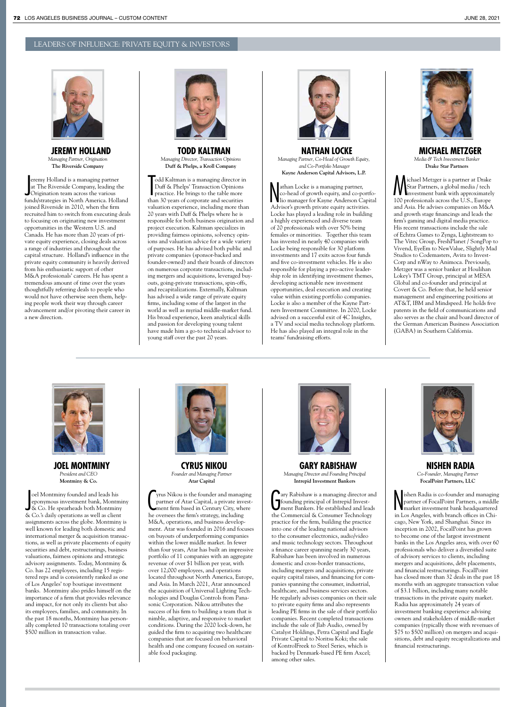# LEADERS OF INFLUENCE: PRIVATE EQUITY & INVESTORS



**JEREMY HOLLAND** *Managing Partner, Origination* **The Riverside Company**

eremy Holland is a managing partne<br>
at The Riverside Company, leading<br>
Origination team across the various<br>
fundelettatories in North America Hol eremy Holland is a managing partner at The Riverside Company, leading the funds/strategies in North America. Holland joined Riverside in 2010, when the firm recruited him to switch from executing deals to focusing on originating new investment opportunities in the Western U.S. and Canada. He has more than 20 years of private equity experience, closing deals across a range of industries and throughout the capital structure. Holland's influence in the private equity community is heavily derived from his enthusiastic support of other M&A professionals' careers. He has spent a tremendous amount of time over the years thoughtfully referring deals to people who would not have otherwise seen them, helping people work their way through career advancement and/or pivoting their career in a new direction.



**TODD KALTMAN** *Managing Director, Transaction Opinions* **Duff & Phelps, a Kroll Company**

Todd Kaltman is a managing director in<br>Duff & Phelps' Transaction Opinions<br>practice. He brings to the table more<br>than 30 years of corporate and securities odd Kaltman is a managing director in Duff & Phelps' Transaction Opinions practice. He brings to the table more valuation experience, including more than 20 years with Duff & Phelps where he is responsible for both business origination and project execution. Kaltman specializes in providing fairness opinions, solvency opinions and valuation advice for a wide variety of purposes. He has advised both public and private companies (sponsor-backed and founder-owned) and their boards of directors on numerous corporate transactions, including mergers and acquisitions, leveraged buyouts, going-private transactions, spin-offs, and recapitalizations. Externally, Kaltman has advised a wide range of private equity firms, including some of the largest in the world as well as myriad middle-market fund. His broad experience, keen analytical skills and passion for developing young talent have made him a go-to technical advisor to young staff over the past 20 years.



**NATHAN LOCKE** *Managing Partner, Co-Head of Growth Equity, and Co-Portfolio Manager* **Kayne Anderson Capital Advisors, L.P.**

Nathan Locke is a managing partner,<br>Co-head of growth equity, and co-portf<br>Ilio manager for Kayne Anderson Capit<br>Advisor's growth private equity activities. athan Locke is a managing partner, co-head of growth equity, and co-portfolio manager for Kayne Anderson Capital Locke has played a leading role in building a highly experienced and diverse team of 20 professionals with over 50% being females or minorities. Together this team has invested in nearly 40 companies with Locke being responsible for 30 platform investments and 17 exits across four funds and five co-investment vehicles. He is also responsible for playing a pro-active leadership role in identifying investment themes, developing actionable new investment opportunities, deal execution and creating value within existing portfolio companies. Locke is also a member of the Kayne Partners Investment Committee. In 2020, Locke advised on a successful exit of 4C Insights, a TV and social media technology platform. He has also played an integral role in the teams' fundraising efforts.



**MICHAEL METZGER** *Media & Tech Investment Banker* **Drake Star Partners**

Michael Metzger is a partner at Drake<br>Star Partners, a global media / tech<br>100 professionals across the U.S., Europe ichael Metzger is a partner at Drake Star Partners, a global media / tech investment bank with approximately and Asia. He advises companies on M&A and growth stage financings and leads the firm's gaming and digital media practice. His recent transactions include the sale of Echtra Games to Zynga, Lightstream to The Vitec Group, FreshPlanet / SongPop to Vivend, EyeEm to NewValue, Slightly Mad Studios to Codemasters, Avira to Invest-Corp and nWay to Animoca. Previously, Metzger was a senior banker at Houlihan Lokey's TMT Group, principal at MESA Global and co-founder and principal at Covert & Co. Before that, he held senior management and engineering positions at AT&T, IBM and Mindspeed. He holds five patents in the field of communications and also serves as the chair and board director of the German American Business Association (GABA) in Southern California.



**JOEL MONTMINY** *President and CEO* **Montminy & Co.**

oel Montminy founded and leads his<br>
eponymous investment bank, Montmin<br>
& Co. He spearheads both Montminy<br>
& Co. 'e dei de disposition oel Montminy founded and leads his eponymous investment bank, Montminy & Co.'s daily operations as well as client assignments across the globe. Montminy is well known for leading both domestic and international merger & acquisition transactions, as well as private placements of equity securities and debt, restructurings, business valuations, fairness opinions and strategic advisory assignments. Today, Montminy & Co. has 22 employees, including 15 registered reps and is consistently ranked as one of Los Angeles' top boutique investment banks. Montminy also prides himself on the importance of a firm that provides relevance and impact, for not only its clients but also its employees, families, and community. In the past 18 months, Montminy has personally completed 10 transactions totaling over \$500 million in transaction value.



**CYRUS NIKOU** *Founder and Managing Partner* **Atar Capital**

Tyrus Nikou is the founder and managi<br>
partner of Atar Capital, a private inverse<br>
ment firm based in Century City, whe<br>
he oversees the firm's strategy, including yrus Nikou is the founder and managing partner of Atar Capital, a private investment firm based in Century City, where M&A, operations, and business development. Atar was founded in 2016 and focuses on buyouts of underperforming companies within the lower middle market. In fewer than four years, Atar has built an impressive portfolio of 11 companies with an aggregate revenue of over \$1 billion per year, with over 12,000 employees, and operations located throughout North America, Europe, and Asia. In March 2021, Atar announced the acquisition of Universal Lighting Technologies and Douglas Controls from Panasonic Corporation. Nikou attributes the success of his firm to building a team that is nimble, adaptive, and responsive to market conditions. During the 2020 lock-down, he guided the firm to acquiring two healthcare companies that are focused on behavioral health and one company focused on sustainable food packaging.



**GARY RABISHAW** *Managing Director and Founding Principal*  **Intrepid Investment Bankers**

G ary Rabishaw is a managing director and founding principal of Intrepid Investment Bankers. He established and leads the Commercial & Consumer Technology practice for the firm, building the practice into one of the leading national advisors to the consumer electronics, audio/video and music technology sectors. Throughout a finance career spanning nearly 30 years, Rabishaw has been involved in numerous domestic and cross-border transactions, including mergers and acquisitions, private equity capital raises, and financing for companies spanning the consumer, industrial, healthcare, and business services sectors. He regularly advises companies on their sale to private equity firms and also represents leading PE firms in the sale of their portfolio companies. Recent completed transactions include the sale of Jlab Audio, owned by Catalyst Holdings, Petra Capital and Eagle Private Capital to Noritsu Koki; the sale of KontrolFreek to Steel Series, which is backed by Denmark-based PE firm Axcel; among other sales.



**NISHEN RADIA** *Co-Founder, Managing Partner* **FocalPoint Partners, LLC**

sishen Radia is co-founder and managing<br>partner of FocalPoint Partners, a middle<br>market investment bank headquartered<br>in Los Angeles, with branch offices in Chiishen Radia is co-founder and managing partner of FocalPoint Partners, a middle market investment bank headquartered cago, New York, and Shanghai. Since its inception in 2002, FocalPoint has grown to become one of the largest investment banks in the Los Angeles area, with over 60 professionals who deliver a diversified suite of advisory services to clients, including mergers and acquisitions, debt placements, and financial restructurings. FocalPoint has closed more than 32 deals in the past 18 months with an aggregate transaction value of \$3.1 billion, including many notable transactions in the private equity market. Radia has approximately 24 years of investment banking experience advising owners and stakeholders of middle-market companies (typically those with revenues of \$75 to \$500 million) on mergers and acquisitions, debt and equity recapitalizations and nancial restructurings.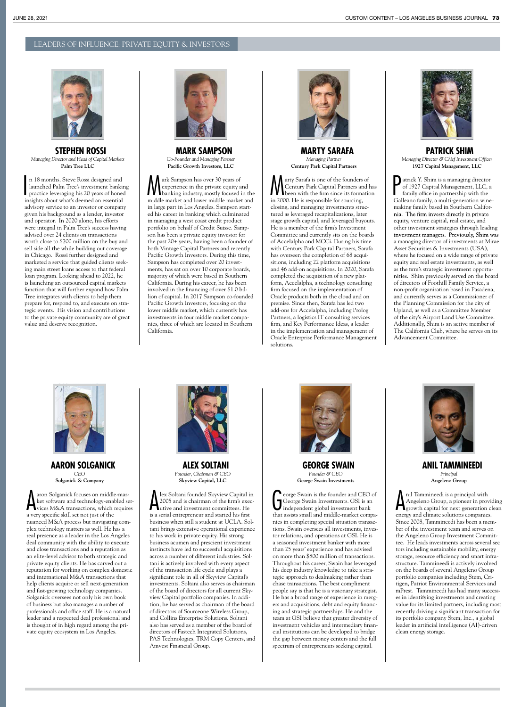### LEADERS OF INFLUENCE: PRIVATE EQUITY & INVESTORS



**STEPHEN ROSSI** *Managing Director and Head of Capital Markets* **Palm Tree LLC**

I n 18 months, Steve Rossi designed and launched Palm Tree's investment banking practice leveraging his 20 years of honed insights about what's deemed an essential advisory service to an investor or company given his background as a lender, investor and operator. In 2020 alone, his efforts were integral in Palm Tree's success having advised over 24 clients on transactions worth close to \$700 million on the buy and sell side all the while building out coverage in Chicago. Rossi further designed and marketed a service that guided clients seeking main street loans access to that federal loan program. Looking ahead to 2022, he is launching an outsourced capital markets function that will further expand how Palm Tree integrates with clients to help them prepare for, respond to, and execute on strategic events. His vision and contributions to the private equity community are of great value and deserve recognition.



**MARK SAMPSON** *Co-Founder and Managing Partner* Pacific Growth Investors, LLC

A ark Sampson has over 30 years of<br>
experience in the private equity and<br>
banking industry, mostly focused in the<br>
bankle models and lower middle models and experience in the private equity and middle market and lower middle market and in large part in Los Angeles. Sampson started his career in banking which culminated in managing a west coast credit product portfolio on behalf of Credit Suisse. Sampson has been a private equity investor for the past 20+ years, having been a founder of both Vintage Capital Partners and recently Pacific Growth Investors. During this time, Sampson has completed over 20 investments, has sat on over 10 corporate boards, majority of which were based in Southern California. During his career, he has been involved in the financing of over \$1.0 billion of capital. In 2017 Sampson co-founded Pacific Growth Investors, focusing on the lower middle market, which currently has investments in four middle market companies, three of which are located in Southern California.



**MARTY SARAFA** *Managing Partner* **Century Park Capital Partners**

**Marty Sarafa is one of the founders of<br>Century Park Capital Partners and has<br>in 2000 Ho is formation** Century Park Capital Partners and has in 2000. He is responsible for sourcing, closing, and managing investments structured as leveraged recapitalizations, later stage growth capital, and leveraged buyouts. He is a member of the firm's Investment Committee and currently sits on the boards of Accelalpha and MCCi. During his time with Century Park Capital Partners, Sarafa has overseen the completion of 68 acquisitions, including 22 platform acquisitions and 46 add-on acquisitions. In 2020, Sarafa completed the acquisition of a new platform, Accelalpha, a technology consulting firm focused on the implementation of Oracle products both in the cloud and on premise. Since then, Sarafa has led two add-ons for Accelalpha, including Prolog Partners, a logistics IT consulting services firm, and Key Performance Ideas, a leader in the implementation and management of Oracle Enterprise Performance Management solutions.



**PATRICK SHIM** *Managing Director & Chief Investment Officer* **1927 Capital Management, LLC**

**P**atrick Y. Shim is a managing director<br>of 1927 Capital Management, LLC, a<br>family office in partnership with the<br>calleans family a multi gaparitien wine of 1927 Capital Management, LLC, a family office in partnership with the Galleano family, a multi-generation winemaking family based in Southern California. The firm invests directly in private equity, venture capital, real estate, and other investment strategies through leading a managing director of investments at Mirae Asset Securities & Investments (USA), where he focused on a wide range of private equity and real estate investments, as well as the firm's strategic investment opportunities. Shim previously served on the board of directors of Foothill Family Service, a non-profit organization based in Pasadena, and currently serves as a Commissioner of the Planning Commission for the city of Upland, as well as a Committee Member of the city's Airport Land Use Committee. Additionally, Shim is an active member of The California Club, where he serves on its Advancement Committee.



**AARON SOLGANICK** *CEO* **Solganick & Company**

A aron Solganick focuses on middle-mar-<br>ket software and technology-enabled ser-<br>wices M&A transactions, which requires aron Solganick focuses on middle-market software and technology-enabled sera very specific skill set not just of the nuanced M&A process but navigating complex technology matters as well. He has a real presence as a leader in the Los Angeles deal community with the ability to execute and close transactions and a reputation as an elite-level advisor to both strategic and private equity clients. He has carved out a reputation for working on complex domestic and international M&A transactions that help clients acquire or sell next-generation and fast-growing technology companies. Solganick oversees not only his own book of business but also manages a number of professionals and office staff. He is a natural leader and a respected deal professional and is thought of in high regard among the private equity ecosystem in Los Angeles.



**ALEX SOLTANI** *Founder, Chairman & CEO* **Skyview Capital, LLC**

Lex Soltani founded Skyview Capital is<br>2005 and is chairman of the firm's executive and investment committees. He<br>is a serial of the stated bis frat lex Soltani founded Skyview Capital in 2005 and is chairman of the firm's execis a serial entrepreneur and started his first business when still a student at UCLA. Soltani brings extensive operational experience to his work in private equity. His strong business acumen and prescient investment instincts have led to successful acquisitions across a number of different industries. Soltani is actively involved with every aspect of the transaction life cycle and plays a significant role in all of Skyview Capital's investments. Soltani also serves as chairman of the board of directors for all current Skyview Capital portfolio companies. In addition, he has served as chairman of the board of directors of Sourceone Wireless Group, and Collins Enterprise Solutions. Soltani also has served as a member of the board of directors of Fastech Integrated Solutions, PAS Technologies, TRM Copy Centers, and Amvest Financial Group.



**GEORGE SWAIN** *Founder & CEO* **George Swain Investments**

 $\begin{cases} \text{eorge Swain is the founder and CEO of} \\ \text{George Swain Investments. GSI is an independent global investment bank that assists small and middle-market compa- \textit{under} \\ \end{cases}$ eorge Swain is the founder and CEO of George Swain Investments. GSI is an independent global investment bank nies in completing special situation transactions. Swain oversees all investments, investor relations, and operations at GSI. He is a seasoned investment banker with more than 25 years' experience and has advised on more than \$800 million of transactions. Throughout his career, Swain has leveraged his deep industry knowledge to take a strategic approach to dealmaking rather than chase transactions. The best compliment people say is that he is a visionary strategist. He has a broad range of experience in mergers and acquisitions, debt and equity financing and strategic partnerships. He and the team at GSI believe that greater diversity of investment vehicles and intermediary financial institutions can be developed to bridge the gap between money centers and the full spectrum of entrepreneurs seeking capital.



**ANIL TAMMINEEDI** *Principal* **Angeleno Group**

is a principal with<br>Angeleno Group, a pioneer in providing<br>growth capital for next generation clean<br>and alimate or next generation clean nil Tammineedi is a principal with Angeleno Group, a pioneer in providing energy and climate solutions companies. Since 2008, Tammineedi has been a member of the investment team and serves on the Angeleno Group Investment Committee. He leads investments across several sec tors including sustainable mobility, energy storage, resource efficiency and smart infrastructure. Tammineedi is actively involved on the boards of several Angeleno Group portfolio companies including Stem, Critigen, Patriot Environmental Services and mPrest. Tammineedi has had many successes in identifying investments and creating value for its limited partners, including most recently driving a significant transaction for its portfolio company Stem, Inc., a global leader in artificial intelligence (AI)-driven clean energy storage.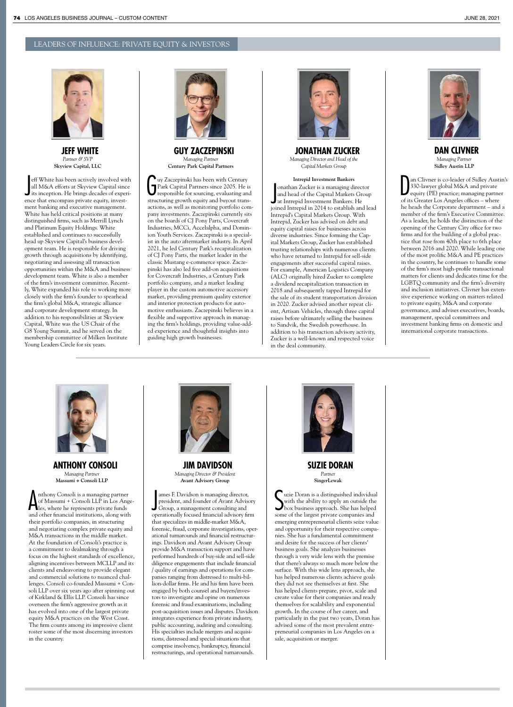

**JEFF WHITE** *Partner & SVP* **Skyview Capital, LLC**

eff White has been actively involved with<br>all M&A efforts at Skyview Capital since<br>its inception. He brings decades of experi-<br>principal script in the set of the set of the set of the set of the set of the set of the set o eff White has been actively involved with all M&A efforts at Skyview Capital since ence that encompass private equity, investment banking and executive management. White has held critical positions at many distinguished firms, such as Merrill Lynch and Platinum Equity Holdings. White established and continues to successfully head up Skyview Capital's business development team. He is responsible for driving growth through acquisitions by identifying, negotiating and assessing all transaction opportunities within the M&A and business development team. White is also a member of the firm's investment committee. Recently, White expanded his role to working more closely with the firm's founder to spearhead the firm's global M&A, strategic alliance and corporate development strategy. In addition to his responsibilities at Skyview Capital, White was the US Chair of the G8 Young Summit, and he served on the membership committee of Milken Institute Young Leaders Circle for six years.



**GUY ZACZEPINSKI** *Managing Partner* **Century Park Capital Partners**

G uy Zaczepinski has been with Century Park Capital Partners since 2005. He is responsible for sourcing, evaluating and structuring growth equity and buyout transactions, as well as monitoring portfolio company investments. Zaczepinski currently sits on the boards of CJ Pony Parts, Covercraft Industries, MCCi, Accelalpha, and Dominion Youth Services. Zaczepinski is a specialist in the auto aftermarket industry. In April 2021, he led Century Park's recapitalization of CJ Pony Parts, the market leader in the classic Mustang e-commerce space. Zaczepinski has also led five add-on acquisitions for Covercraft Industries, a Century Park portfolio company, and a market leading player in the custom automotive accessory market, providing premium quality exterior and interior protection products for automotive enthusiasts. Zaczepinski believes in a flexible and supportive approach in managing the firm's holdings, providing value-added experience and thoughtful insights into guiding high growth businesses.



**JONATHAN ZUCKER** *Managing Director and Head of the Capital Markets Group*

**Intrepid Investment Bankers** International Sucker is a managing direct<br>and head of the Capital Markets Grand Interpid Investment Bankers. He<br>is in all target in 2014 to a stablish onathan Zucker is a managing director and head of the Capital Markets Group joined Intrepid in 2014 to establish and lead Intrepid's Capital Markets Group. With Intrepid, Zucker has advised on debt and equity capital raises for businesses across diverse industries. Since forming the Capital Markets Group, Zucker has established trusting relationships with numerous clients who have returned to Intrepid for sell-side engagements after successful capital raises. For example, American Logistics Company (ALC) originally hired Zucker to complete a dividend recapitalization transaction in 2018 and subsequently tapped Intrepid for the sale of its student transportation division in 2020. Zucker advised another repeat client, Artisan Vehicles, through three capital raises before ultimately selling the business to Sandvik, the Swedish powerhouse. In addition to his transaction advisory activity, Zucker is a well-known and respected voice in the deal community.



**DAN CLIVNER** *Managing Partner* **Sidley Austin LLP**

an Clivner is co-leader of Sidley Austila 330-lawyer global M&A and private<br>equity (PE) practice; managing partner<br>of its Greater Los Angeles offices – where an Clivner is co-leader of Sidley Austin's 330-lawyer global M&A and private equity (PE) practice; managing partner he heads the Corporate department – and a member of the firm's Executive Committee. As a leader, he holds the distinction of the opening of the Century City office for two firms and for the building of a global practice that rose from 40th place to 6th place between 2016 and 2020. While leading one of the most prolific M&A and PE practices in the country, he continues to handle some of the firm's most high-profile transactional matters for clients and dedicates time for the LGBTQ community and the firm's diversity and inclusion initiatives. Clivner has extensive experience working on matters related to private equity, M&A and corporate governance, and advises executives, boards, management, special committees and investment banking firms on domestic and international corporate transactions.



**ANTHONY CONSOLI** *Managing Partner* **Massumi + Consoli LLP**

Anthony Consoli is a managing partner<br>of Massumi + Consoli LLP in Los Angles, where he represents private funds<br>and other financial institution along with nthony Consoli is a managing partner of Massumi + Consoli LLP in Los Angeand other financial institutions, along with their portfolio companies, in structuring and negotiating complex private equity and M&A transactions in the middle market. At the foundation of Consoli's practice is a commitment to dealmaking through a focus on the highest standards of excellence, aligning incentives between MCLLP and its clients and endeavoring to provide elegant and commercial solutions to nuanced challenges. Consoli co-founded Massumi + Consoli LLP over six years ago after spinning out of Kirkland & Ellis LLP. Consoli has since overseen the firm's aggressive growth as it has evolved into one of the largest private equity M&A practices on the West Coast. The firm counts among its impressive client roster some of the most discerning investors in the country.



**JIM DAVIDSON** *Managing Director & President* **Avant Advisory Group**

ames F. Davidson is managing director,<br>president, and founder of Avant Advis<br>Group, a management consulting and<br>consulu focused for sial editions if ames F. Davidson is managing director, president, and founder of Avant Advisory operationally focused financial advisory firm that specializes in middle-market M&A, forensic, fraud, corporate investigations, operational turnarounds and financial restructurings. Davidson and Avant Advisory Group provide M&A transaction support and have performed hundreds of buy-side and sell-side diligence engagements that include financial / quality of earnings and operations for companies ranging from distressed to multi-billion-dollar firms. He and his firm have been engaged by both counsel and buyers/investors to investigate and opine on numerous forensic and fraud examinations, including post-acquisition issues and disputes. Davidson integrates experience from private industry, public accounting, auditing and consulting. His specialties include mergers and acquisitions, distressed and special situations that comprise insolvency, bankruptcy, financial restructurings, and operational turnarounds.



**SUZIE DORAN** *Partner* **SingerLewak**

Suzie Doran is a distinguished individual with the ability to apply an outside the box business approach. She has helped some of the largest private companies and uzie Doran is a distinguished individual with the ability to apply an outside the box business approach. She has helped emerging entrepreneurial clients seize value and opportunity for their respective companies. She has a fundamental commitment and desire for the success of her clients' business goals. She analyzes businesses through a very wide lens with the premise that there's always so much more below the surface. With this wide lens approach, she has helped numerous clients achieve goals they did not see themselves at first. She has helped clients prepare, pivot, scale and create value for their companies and ready themselves for scalability and exponential growth. In the course of her career, and particularly in the past two years, Doran has advised some of the most prevalent entrepreneurial companies in Los Angeles on a sale, acquisition or merger.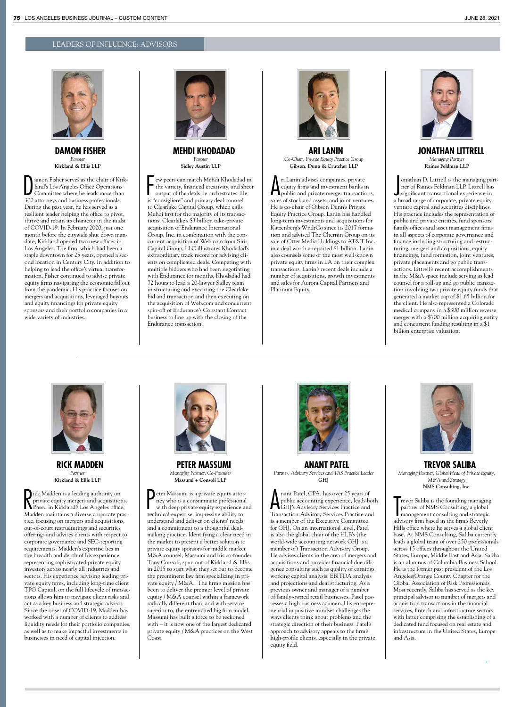## LEADERS OF INFLUENCE: ADVISORS



**DAMON FISHER** *Partner* **Kirkland & Ellis LLP**

amon Fisher serves as the chair of Kii land's Los Angeles Office Operations<br>Committee where he leads more that<br>300 attorneys and business professionals. amon Fisher serves as the chair of Kirkland's Los Angeles Office Operations Committee where he leads more than During the past year, he has served as a resilient leader helping the office to pivot, thrive and retain its character in the midst of COVID-19. In February 2020, just one month before the citywide shut down mandate, Kirkland opened two new offices in Los Angeles. The firm, which had been a staple downtown for 25 years, opened a second location in Century City. In addition to helping to lead the office's virtual transformation, Fisher continued to advise private equity firms navigating the economic fallout from the pandemic. His practice focuses on mergers and acquisitions, leveraged buyouts and equity financings for private equity sponsors and their portfolio companies in a wide variety of industries.



**MEHDI KHODADAD** *Partner* **Sidley Austin LLP**

Few peers can match Mehdi Khodadad<br>the variety, financial creativity, and sh<br>output of the deals he orchestrates. H<br>is "consigliere" and primary deal counsel ew peers can match Mehdi Khodadad in the variety, financial creativity, and sheer output of the deals he orchestrates. He to Clearlake Capital Group, which calls Mehdi first for the majority of its transactions. Clearlake's \$3 billion take-private acquisition of Endurance International Group, Inc. in combination with the concurrent acquisition of Web.com from Siris Capital Group, LLC illustrates Khodadad's extraordinary track record for advising clients on complicated deals. Competing with multiple bidders who had been negotiating with Endurance for months, Khodadad had 72 hours to lead a 20-lawyer Sidley team in structuring and executing the Clearlake bid and transaction and then executing on the acquisition of Web.com and concurrent spin-off of Endurance's Constant Contact business to line up with the closing of the Endurance transaction.



**ARI LANIN** *Co-Chair, Private Equity Practice Group* **Gibson, Dunn & Crutcher LLP**

*A* ri Lanin advises companies, private<br>equity firms and investment banks in<br>spublic and private merger transactions, ri Lanin advises companies, private equity firms and investment banks in sales of stock and assets, and joint ventures. He is co-chair of Gibson Dunn's Private Equity Practice Group. Lanin has handled long-term investments and acquisitions for Katzenberg's WndrCo since its 2017 formation and advised The Chernin Group on its sale of Otter Media Holdings to AT&T Inc. in a deal worth a reported \$1 billion. Lanin also counsels some of the most well-known private equity firms in LA on their complex transactions. Lanin's recent deals include a number of acquisitions, growth investments and sales for Aurora Capital Partners and Platinum Equity.



**JONATHAN LITTRELL** *Managing Partner* **Raines Feldman LLP**

onathan D. Littrell is the managing par<br>ner of Raines Feldman LLP. Littrell has<br>significant transactional experience in<br>a broad range of corporate, private equity, onathan D. Littrell is the managing partner of Raines Feldman LLP. Littrell has significant transactional experience in venture capital and securities disciplines. His practice includes the representation of public and private entities, fund sponsors, family offices and asset management firms in all aspects of corporate governance and nance including structuring and restructuring, mergers and acquisitions, equity nancings, fund formation, joint ventures, private placements and go public transactions. Littrell's recent accomplishments in the M&A space include serving as lead counsel for a roll-up and go public transaction involving two private equity funds that generated a market cap of \$1.65 billion for the client. He also represented a Colorado medical company in a \$300 million reverse merger with a \$700 million acquiring entity and concurrent funding resulting in a \$1 billion enterprise valuation.



**RICK MADDEN** *Partner* **Kirkland & Ellis LLP**

Rick Madden is a leading authority on<br>private equity mergers and acquisitions<br>Madden in Kirkland's Los Angeles office, ick Madden is a leading authority on private equity mergers and acquisitions. Madden maintains a diverse corporate practice, focusing on mergers and acquisitions, out-of-court restructurings and securities offerings and advises clients with respect to corporate governance and SEC-reporting requirements. Madden's expertise lies in the breadth and depth of his experience representing sophisticated private equity investors across nearly all industries and sectors. His experience advising leading private equity firms, including long-time client TPG Capital, on the full lifecycle of transactions allows him to navigate client risks and act as a key business and strategic advisor. Since the onset of COVID-19, Madden has worked with a number of clients to address liquidity needs for their portfolio companies, as well as to make impactful investments in businesses in need of capital injection.



**PETER MASSUMI** *Managing Partner, Co-Founder* **Massumi + Consoli LLP**

**P** eter Massumi is a private equity attor-<br>
ney who is a consummate professional<br>
with deep private equity experience and<br>
with the set of the set of the set of the set of the set of the set of the set of the set of the s ney who is a consummate professional with deep private equity experience and technical expertise, impressive ability to understand and deliver on clients' needs, and a commitment to a thoughtful dealmaking practice. Identifying a clear need in the market to present a better solution to private equity sponsors for middle market M&A counsel, Massumi and his co-founder, Tony Consoli, spun out of Kirkland & Ellis in 2015 to start what they set out to become the preeminent law firm specializing in private equity / M&A. The firm's mission has been to deliver the premier level of private equity / M&A counsel within a framework radically different than, and with service superior to, the entrenched big firm model. Massumi has built a force to be reckoned with – it is now one of the largest dedicated private equity / M&A practices on the West Coast.



**ANANT PATEL** *Partner, Advisory Services and TAS Practice Leader* **GHJ**

A nant Patel, CPA, has over 25 years of<br>public accounting experience, leads bothly's Advisory Services Practice and<br>Transaction Patel and nant Patel, CPA, has over 25 years of public accounting experience, leads both Transaction Advisory Services Practice and is a member of the Executive Committee for GHJ. On an international level, Patel is also the global chair of the HLB's (the world-wide accounting network GHJ is a member of) Transaction Advisory Group. He advises clients in the area of mergers and acquisitions and provides financial due diligence consulting such as quality of earnings, working capital analysis, EBITDA analysis and projections and deal structuring. As a previous owner and manager of a number of family-owned retail businesses, Patel possesses a high business acumen. His entrepreneurial inquisitive mindset challenges the ways clients think about problems and the strategic direction of their business. Patel's approach to advisory appeals to the firm's high-profile clients, especially in the private equity field.



**TREVOR SALIBA** *Managing Partner, Global Head of Private Equity, M&A and Strategy* **NMS Consulting, Inc**.

Tevor Saliba is the founding managing<br>partner of NMS Consulting, a global<br>management consulting and strategic<br>advisory firm based in the firm's Beverly revor Saliba is the founding managing partner of NMS Consulting, a global management consulting and strategic Hills office where he serves a global client base. At NMS Consulting, Saliba currently leads a global team of over 250 professionals across 15 offices throughout the United States, Europe, Middle East and Asia. Saliba is an alumnus of Columbia Business School. He is the former past president of the Los Angeles/Orange County Chapter for the Global Association of Risk Professionals. Most recently, Saliba has served as the key principal advisor to number of mergers and acquisition transactions in the financial services, fintech and infrastructure sectors with latter comprising the establishing of a dedicated fund focused on real estate and infrastructure in the United States, Europe and Asia.